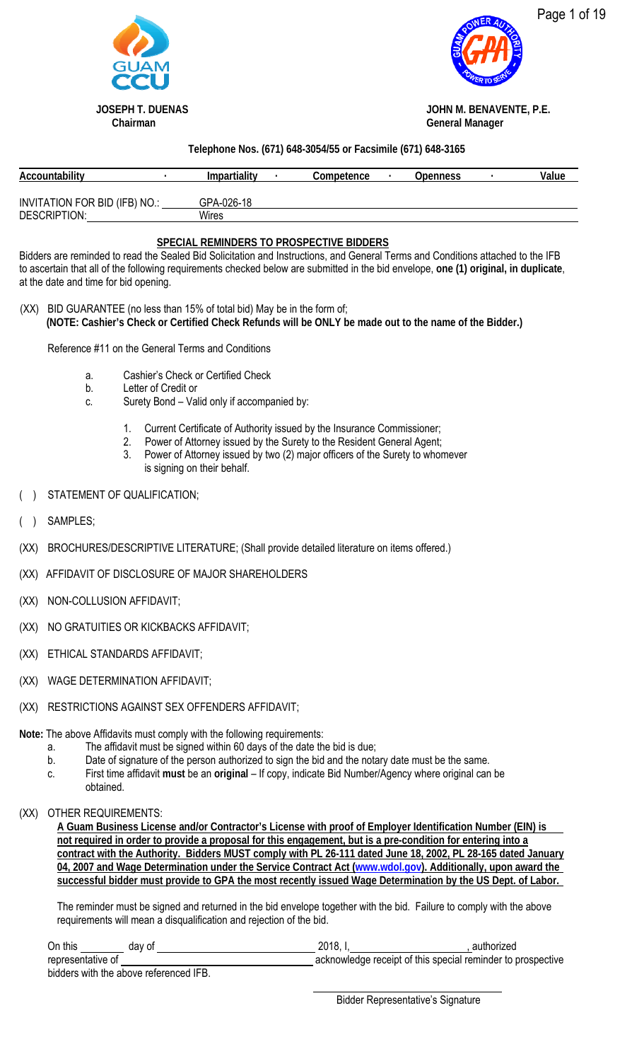



 **JOSEPH T. DUENAS JOHN M. BENAVENTE, P.E. Chairman General Manager** 

# Page 1 of 19

#### **Telephone Nos. (671) 648-3054/55 or Facsimile (671) 648-3165**

| Accountability                | Impartiality | Competence | Openness | Value |
|-------------------------------|--------------|------------|----------|-------|
|                               |              |            |          |       |
| INVITATION FOR BID (IFB) NO.: | GPA-026-18   |            |          |       |
| DESCRIPTION:                  | Wires        |            |          |       |

## **SPECIAL REMINDERS TO PROSPECTIVE BIDDERS**

Bidders are reminded to read the Sealed Bid Solicitation and Instructions, and General Terms and Conditions attached to the IFB to ascertain that all of the following requirements checked below are submitted in the bid envelope, **one (1) original, in duplicate**, at the date and time for bid opening.

 (XX) BID GUARANTEE (no less than 15% of total bid) May be in the form of; **(NOTE: Cashier's Check or Certified Check Refunds will be ONLY be made out to the name of the Bidder.)** 

Reference #11 on the General Terms and Conditions

- a. Cashier's Check or Certified Check
- b. Letter of Credit or
- c. Surety Bond Valid only if accompanied by:
	- 1. Current Certificate of Authority issued by the Insurance Commissioner;
	- 2. Power of Attorney issued by the Surety to the Resident General Agent;
	- 3. Power of Attorney issued by two (2) major officers of the Surety to whomever is signing on their behalf.
- ( ) STATEMENT OF QUALIFICATION;
- ( ) SAMPLES;
- (XX) BROCHURES/DESCRIPTIVE LITERATURE; (Shall provide detailed literature on items offered.)
- (XX) AFFIDAVIT OF DISCLOSURE OF MAJOR SHAREHOLDERS
- (XX) NON-COLLUSION AFFIDAVIT;
- (XX) NO GRATUITIES OR KICKBACKS AFFIDAVIT;
- (XX) ETHICAL STANDARDS AFFIDAVIT;
- (XX) WAGE DETERMINATION AFFIDAVIT;
- (XX) RESTRICTIONS AGAINST SEX OFFENDERS AFFIDAVIT;
- **Note:** The above Affidavits must comply with the following requirements:
	- a. The affidavit must be signed within 60 days of the date the bid is due;
	- b. Date of signature of the person authorized to sign the bid and the notary date must be the same.
	- c. First time affidavit **must** be an **original** If copy, indicate Bid Number/Agency where original can be obtained.
- (XX) OTHER REQUIREMENTS:

**A Guam Business License and/or Contractor's License with proof of Employer Identification Number (EIN) is not required in order to provide a proposal for this engagement, but is a pre-condition for entering into a contract with the Authority. Bidders MUST comply with PL 26-111 dated June 18, 2002, PL 28-165 dated January 04, 2007 and Wage Determination under the Service Contract Act (www.wdol.gov). Additionally, upon award the successful bidder must provide to GPA the most recently issued Wage Determination by the US Dept. of Labor.** 

The reminder must be signed and returned in the bid envelope together with the bid. Failure to comply with the above requirements will mean a disqualification and rejection of the bid.

| On this           | dav of                                                                                                          | 2018, I | authorized                                                  |
|-------------------|-----------------------------------------------------------------------------------------------------------------|---------|-------------------------------------------------------------|
| representative of |                                                                                                                 |         | acknowledge receipt of this special reminder to prospective |
|                   | that distances and the other completes and formal contributions of the property of the property of the property |         |                                                             |

bidders with the above referenced IFB.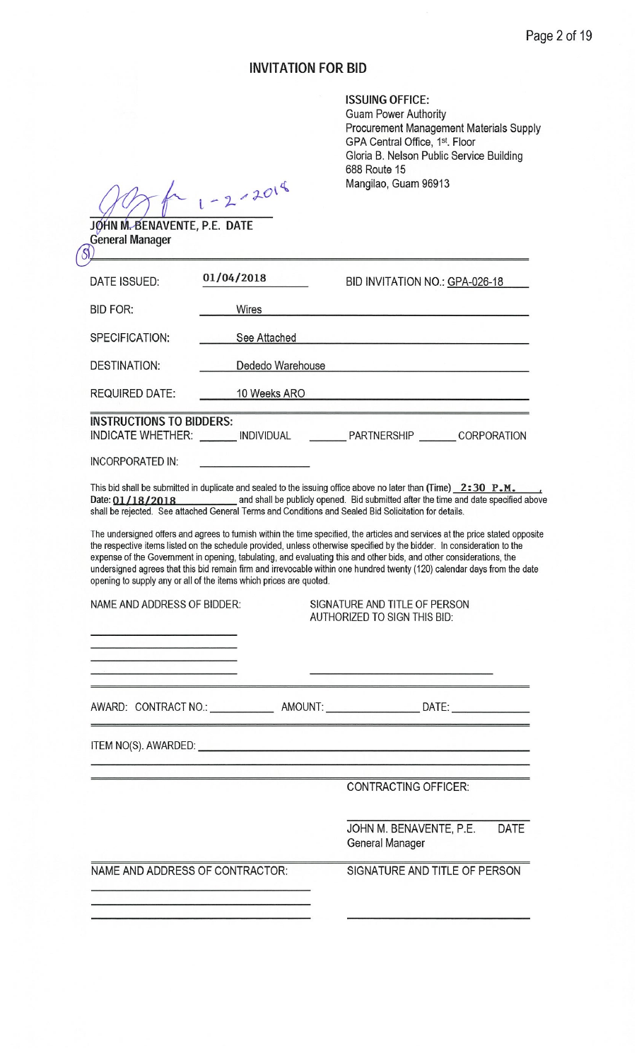## **INVITATION FOR BID**

**ISSUING OFFICE:** 

Guam Power Authority<br>Procurement Management Materials Supply<br>GPA Central Office, 1<sup>st</sup>. Floor<br>Gloria B. Nelson Public Service Building 688 Route 15 Mangilao, Guam 96913

 $1 - 2 - 2018$ 

**Syrin M. BENAVE**<br>General Manager JOHN M. BENAVENTE, P.E. DATE

| DATE ISSUED:                    | 01/04/2018                                                                                                     | BID INVITATION NO.: GPA-026-18                                                                                                                                                                                                                                                                                                                                                                                                                                                                               |
|---------------------------------|----------------------------------------------------------------------------------------------------------------|--------------------------------------------------------------------------------------------------------------------------------------------------------------------------------------------------------------------------------------------------------------------------------------------------------------------------------------------------------------------------------------------------------------------------------------------------------------------------------------------------------------|
| <b>BID FOR:</b>                 | Wires                                                                                                          |                                                                                                                                                                                                                                                                                                                                                                                                                                                                                                              |
| SPECIFICATION:                  | See Attached                                                                                                   |                                                                                                                                                                                                                                                                                                                                                                                                                                                                                                              |
| <b>DESTINATION:</b>             | Dededo Warehouse                                                                                               | <u> 1950 - Jan Jan Alexander (f. 1950)</u>                                                                                                                                                                                                                                                                                                                                                                                                                                                                   |
| <b>REQUIRED DATE:</b>           | 10 Weeks ARO<br>u alikuwa                                                                                      | <u> Industrial (1979), a film a component a station and station and station and station and station and stationary stations.</u>                                                                                                                                                                                                                                                                                                                                                                             |
|                                 |                                                                                                                |                                                                                                                                                                                                                                                                                                                                                                                                                                                                                                              |
| <b>INSTRUCTIONS TO BIDDERS:</b> |                                                                                                                | INDICATE WHETHER: _______ INDIVIDUAL _________ PARTNERSHIP _______ CORPORATION                                                                                                                                                                                                                                                                                                                                                                                                                               |
| <b>INCORPORATED IN:</b>         |                                                                                                                |                                                                                                                                                                                                                                                                                                                                                                                                                                                                                                              |
|                                 |                                                                                                                | This bid shall be submitted in duplicate and sealed to the issuing office above no later than (Time) $2:30$ P.M.<br>Date: 01/18/2018 and shall be publicly opened. Bid submitted after the time and date specified above<br>shall be rejected. See attached General Terms and Conditions and Sealed Bid Solicitation for details.                                                                                                                                                                            |
|                                 | opening to supply any or all of the items which prices are quoted.                                             | The undersigned offers and agrees to furnish within the time specified, the articles and services at the price stated opposite<br>the respective items listed on the schedule provided, unless otherwise specified by the bidder. In consideration to the<br>expense of the Government in opening, tabulating, and evaluating this and other bids, and other considerations, the<br>undersigned agrees that this bid remain firm and irrevocable within one hundred twenty (120) calendar days from the date |
| NAME AND ADDRESS OF BIDDER:     |                                                                                                                | SIGNATURE AND TITLE OF PERSON<br><b>AUTHORIZED TO SIGN THIS BID:</b>                                                                                                                                                                                                                                                                                                                                                                                                                                         |
|                                 | AWARD: CONTRACT NO.: AMOUNT:                                                                                   | DATE: and the contract of the contract of the contract of the contract of the contract of the contract of the contract of the contract of the contract of the contract of the contract of the contract of the contract of the                                                                                                                                                                                                                                                                                |
|                                 | ITEM NO(S). AWARDED: THE MODEL OF THE MODEL OF THE MODEL OF THE MODEL OF THE MODEL OF THE MODEL OF THE MODEL O |                                                                                                                                                                                                                                                                                                                                                                                                                                                                                                              |
|                                 |                                                                                                                | <b>CONTRACTING OFFICER:</b>                                                                                                                                                                                                                                                                                                                                                                                                                                                                                  |
|                                 |                                                                                                                | <b>DATE</b><br>JOHN M. BENAVENTE, P.E.<br>General Manager                                                                                                                                                                                                                                                                                                                                                                                                                                                    |
| NAME AND ADDRESS OF CONTRACTOR: |                                                                                                                | SIGNATURE AND TITLE OF PERSON                                                                                                                                                                                                                                                                                                                                                                                                                                                                                |
|                                 |                                                                                                                |                                                                                                                                                                                                                                                                                                                                                                                                                                                                                                              |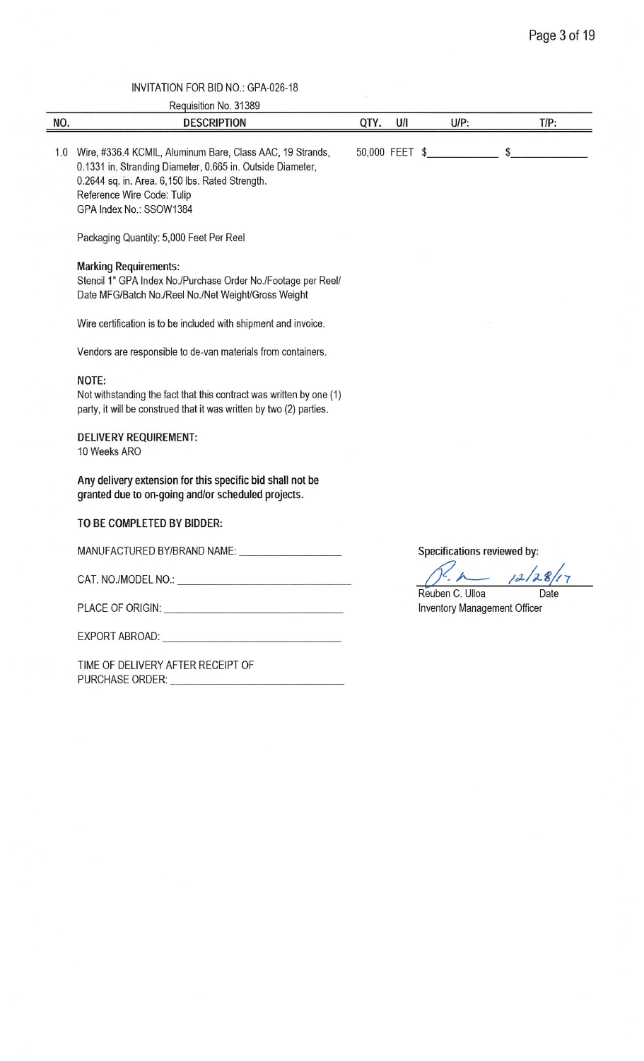# **INVITATION FOR BID NO.: GPA-026-18**

|     | Requisition No. 31389                                                                                                                                                                                                               |                |     |                                     |            |
|-----|-------------------------------------------------------------------------------------------------------------------------------------------------------------------------------------------------------------------------------------|----------------|-----|-------------------------------------|------------|
| NO. | <b>DESCRIPTION</b>                                                                                                                                                                                                                  | QTY.           | U/I | $U/P$ :                             | $T/P$ :    |
| 1.0 | Wire, #336.4 KCMIL, Aluminum Bare, Class AAC, 19 Strands,<br>0.1331 in. Stranding Diameter, 0.665 in. Outside Diameter,<br>0.2644 sq. in. Area. 6,150 lbs. Rated Strength.<br>Reference Wire Code: Tulip<br>GPA Index No.: SSOW1384 | 50,000 FEET \$ |     |                                     | \$         |
|     | Packaging Quantity: 5,000 Feet Per Reel                                                                                                                                                                                             |                |     |                                     |            |
|     | <b>Marking Requirements:</b><br>Stencil 1" GPA Index No./Purchase Order No./Footage per Reel/<br>Date MFG/Batch No./Reel No./Net Weight/Gross Weight                                                                                |                |     |                                     |            |
|     | Wire certification is to be included with shipment and invoice.                                                                                                                                                                     |                |     |                                     |            |
|     | Vendors are responsible to de-van materials from containers.                                                                                                                                                                        |                |     |                                     |            |
|     | NOTE:<br>Not withstanding the fact that this contract was written by one (1)<br>party, it will be construed that it was written by two (2) parties.                                                                                 |                |     |                                     |            |
|     | <b>DELIVERY REQUIREMENT:</b><br>10 Weeks ARO                                                                                                                                                                                        |                |     |                                     |            |
|     | Any delivery extension for this specific bid shall not be<br>granted due to on-going and/or scheduled projects.                                                                                                                     |                |     |                                     |            |
|     | TO BE COMPLETED BY BIDDER:                                                                                                                                                                                                          |                |     |                                     |            |
|     | MANUFACTURED BY/BRAND NAME:                                                                                                                                                                                                         |                |     | Specifications reviewed by:         |            |
|     |                                                                                                                                                                                                                                     |                |     | Reuben C. Ulloa                     | $\sqrt{1}$ |
|     |                                                                                                                                                                                                                                     |                |     | <b>Inventory Management Officer</b> | Date       |
|     |                                                                                                                                                                                                                                     |                |     |                                     |            |
|     | TIME OF DELIVERY AFTER RECEIPT OF                                                                                                                                                                                                   |                |     |                                     |            |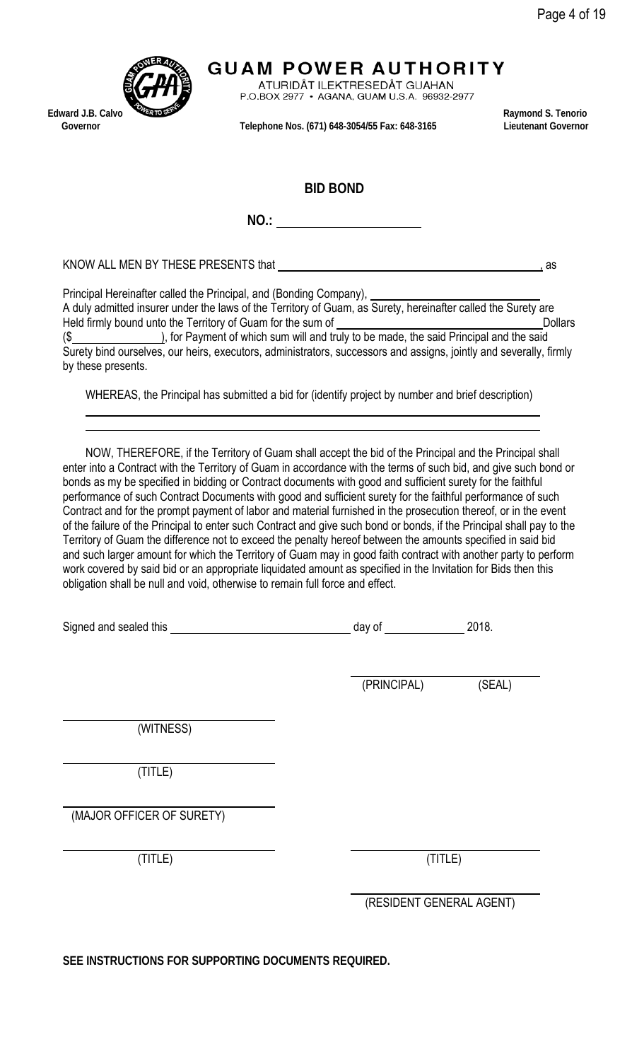

 $\overline{a}$ l,

l

l

l

l

# **GUAM POWER AUTHORITY**

ATURIDÅT ILEKTRESEDÅT GUAHAN P.O.BOX 2977 · AGANA, GUAM U.S.A. 96932-2977

 **Governor Telephone Nos. (671) 648-3054/55 Fax: 648-3165 Lieutenant Governor** 

## **BID BOND**

**NO.:** 

KNOW ALL MEN BY THESE PRESENTS that  $\overline{\phantom{a} \phantom{a} \phantom{a}}$  , as

Principal Hereinafter called the Principal, and (Bonding Company), A duly admitted insurer under the laws of the Territory of Guam, as Surety, hereinafter called the Surety are Held firmly bound unto the Territory of Guam for the sum of Dollars

(be made, the said Principal and truly to be made, the said Principal and the said Surety bind ourselves, our heirs, executors, administrators, successors and assigns, jointly and severally, firmly by these presents.

WHEREAS, the Principal has submitted a bid for (identify project by number and brief description)

 NOW, THEREFORE, if the Territory of Guam shall accept the bid of the Principal and the Principal shall enter into a Contract with the Territory of Guam in accordance with the terms of such bid, and give such bond or bonds as my be specified in bidding or Contract documents with good and sufficient surety for the faithful performance of such Contract Documents with good and sufficient surety for the faithful performance of such Contract and for the prompt payment of labor and material furnished in the prosecution thereof, or in the event of the failure of the Principal to enter such Contract and give such bond or bonds, if the Principal shall pay to the Territory of Guam the difference not to exceed the penalty hereof between the amounts specified in said bid and such larger amount for which the Territory of Guam may in good faith contract with another party to perform work covered by said bid or an appropriate liquidated amount as specified in the Invitation for Bids then this obligation shall be null and void, otherwise to remain full force and effect.

| Signed and sealed this | day of | 2018. |
|------------------------|--------|-------|
|                        |        |       |

(PRINCIPAL) (SEAL)

(WITNESS)

(TITLE)

(MAJOR OFFICER OF SURETY)

(TITLE) (TITLE)

(RESIDENT GENERAL AGENT)

**SEE INSTRUCTIONS FOR SUPPORTING DOCUMENTS REQUIRED.**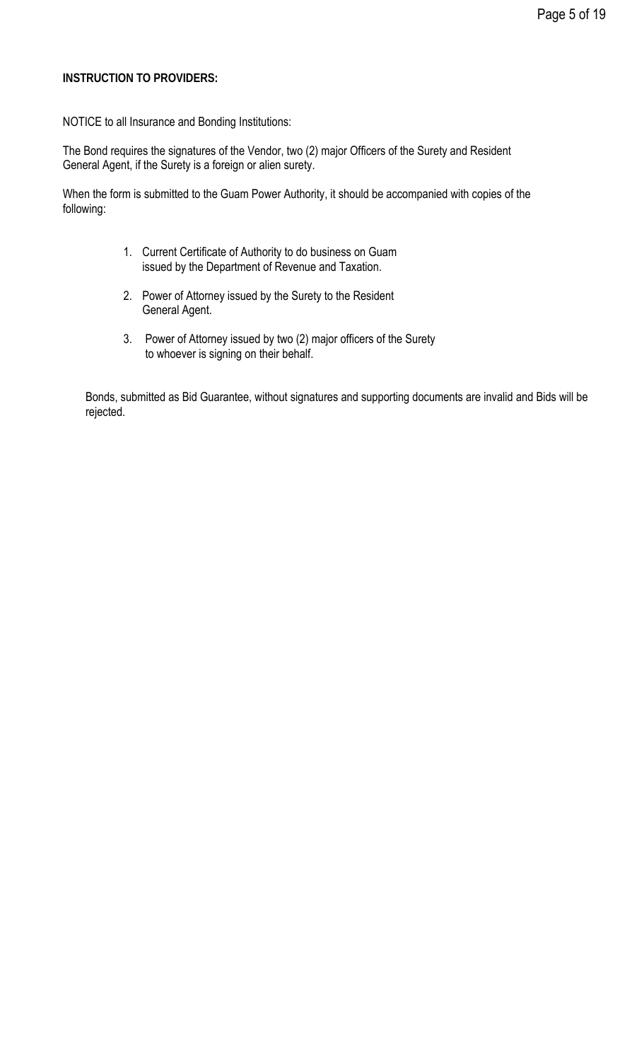## **INSTRUCTION TO PROVIDERS:**

NOTICE to all Insurance and Bonding Institutions:

The Bond requires the signatures of the Vendor, two (2) major Officers of the Surety and Resident General Agent, if the Surety is a foreign or alien surety.

When the form is submitted to the Guam Power Authority, it should be accompanied with copies of the following:

- 1. Current Certificate of Authority to do business on Guam issued by the Department of Revenue and Taxation.
- 2. Power of Attorney issued by the Surety to the Resident General Agent.
- 3. Power of Attorney issued by two (2) major officers of the Surety to whoever is signing on their behalf.

Bonds, submitted as Bid Guarantee, without signatures and supporting documents are invalid and Bids will be rejected.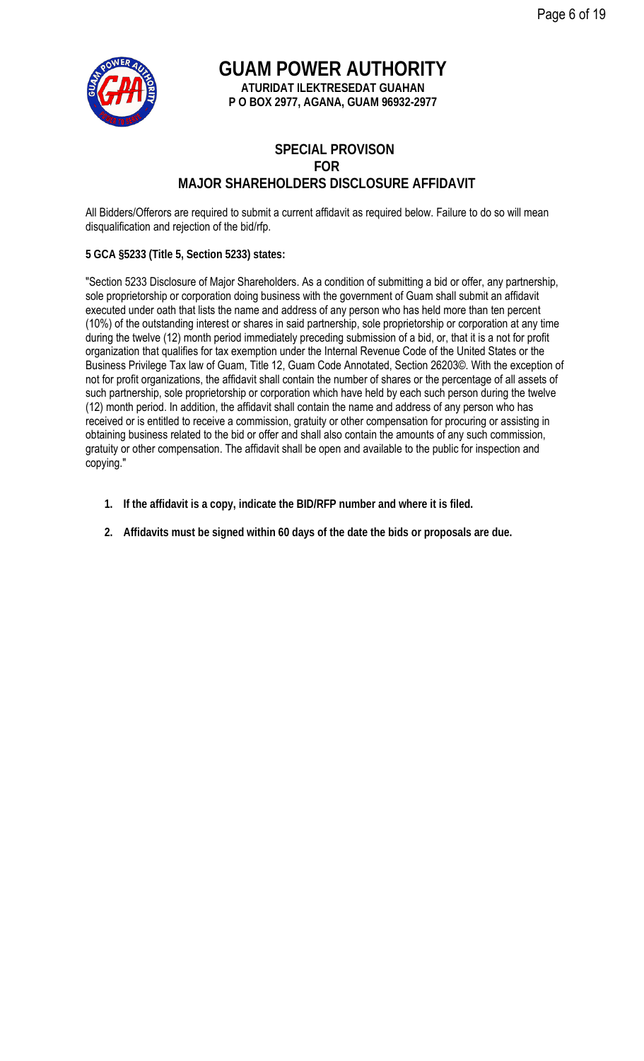

**GUAM POWER AUTHORITY ATURIDAT ILEKTRESEDAT GUAHAN P O BOX 2977, AGANA, GUAM 96932-2977**

## **SPECIAL PROVISON FOR MAJOR SHAREHOLDERS DISCLOSURE AFFIDAVIT**

All Bidders/Offerors are required to submit a current affidavit as required below. Failure to do so will mean disqualification and rejection of the bid/rfp.

## **5 GCA §5233 (Title 5, Section 5233) states:**

"Section 5233 Disclosure of Major Shareholders. As a condition of submitting a bid or offer, any partnership, sole proprietorship or corporation doing business with the government of Guam shall submit an affidavit executed under oath that lists the name and address of any person who has held more than ten percent (10%) of the outstanding interest or shares in said partnership, sole proprietorship or corporation at any time during the twelve (12) month period immediately preceding submission of a bid, or, that it is a not for profit organization that qualifies for tax exemption under the Internal Revenue Code of the United States or the Business Privilege Tax law of Guam, Title 12, Guam Code Annotated, Section 26203©. With the exception of not for profit organizations, the affidavit shall contain the number of shares or the percentage of all assets of such partnership, sole proprietorship or corporation which have held by each such person during the twelve (12) month period. In addition, the affidavit shall contain the name and address of any person who has received or is entitled to receive a commission, gratuity or other compensation for procuring or assisting in obtaining business related to the bid or offer and shall also contain the amounts of any such commission, gratuity or other compensation. The affidavit shall be open and available to the public for inspection and copying."

- **1. If the affidavit is a copy, indicate the BID/RFP number and where it is filed.**
- **2. Affidavits must be signed within 60 days of the date the bids or proposals are due.**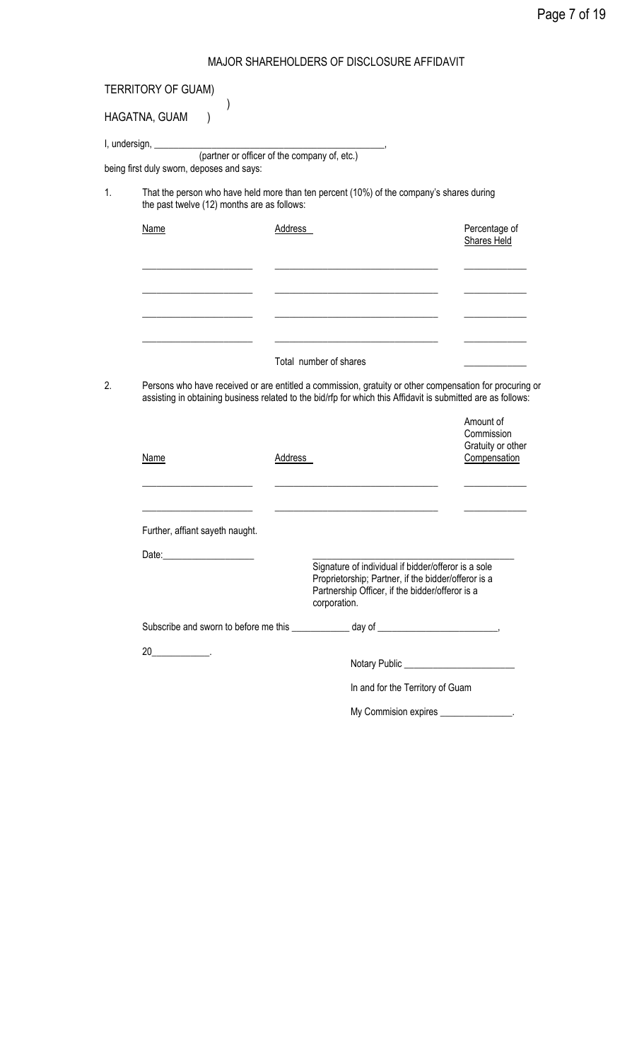## MAJOR SHAREHOLDERS OF DISCLOSURE AFFIDAVIT

| HAGATNA, GUAM  |                                             |                                                                                                                                                                                                                         |                                         |
|----------------|---------------------------------------------|-------------------------------------------------------------------------------------------------------------------------------------------------------------------------------------------------------------------------|-----------------------------------------|
|                |                                             | (partner or officer of the company of, etc.)                                                                                                                                                                            |                                         |
|                | being first duly sworn, deposes and says:   |                                                                                                                                                                                                                         |                                         |
| $\mathbf{1}$ . | the past twelve (12) months are as follows: | That the person who have held more than ten percent (10%) of the company's shares during                                                                                                                                |                                         |
|                | Name                                        | Address                                                                                                                                                                                                                 | Percentage of<br>Shares Held            |
|                |                                             |                                                                                                                                                                                                                         |                                         |
|                |                                             | Total number of shares                                                                                                                                                                                                  |                                         |
|                |                                             |                                                                                                                                                                                                                         |                                         |
|                |                                             |                                                                                                                                                                                                                         |                                         |
|                |                                             | Persons who have received or are entitled a commission, gratuity or other compensation for procuring or<br>assisting in obtaining business related to the bid/rfp for which this Affidavit is submitted are as follows: |                                         |
|                | Name                                        | Address                                                                                                                                                                                                                 | Amount of<br>Commission<br>Compensation |
|                |                                             |                                                                                                                                                                                                                         |                                         |
|                | Further, affiant sayeth naught.             |                                                                                                                                                                                                                         |                                         |
|                | Date: <u>_____________________</u>          |                                                                                                                                                                                                                         |                                         |
|                |                                             | Signature of individual if bidder/offeror is a sole<br>Proprietorship; Partner, if the bidder/offeror is a<br>Partnership Officer, if the bidder/offeror is a<br>corporation.                                           |                                         |
|                |                                             | Subscribe and sworn to before me this _____________ day of _____________________,                                                                                                                                       | Gratuity or other                       |
|                |                                             |                                                                                                                                                                                                                         |                                         |
|                |                                             |                                                                                                                                                                                                                         |                                         |
| 2.             |                                             | In and for the Territory of Guam                                                                                                                                                                                        |                                         |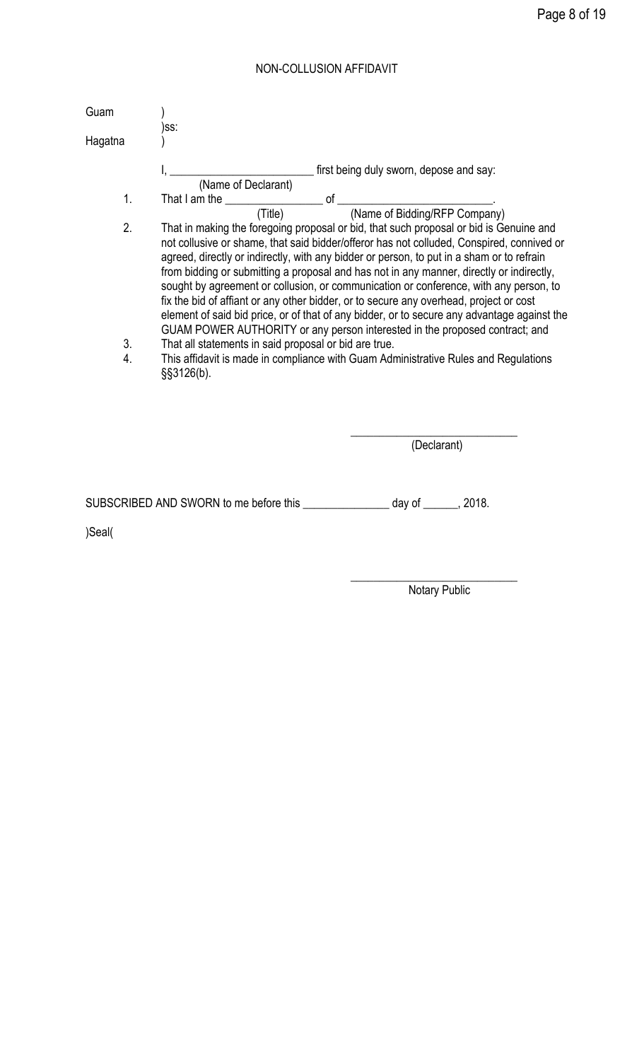## NON-COLLUSION AFFIDAVIT

| Guam             |                                                                                                                                                                                                                                                                                                                                                                                                                                                                                                                                                                                                                                                                                                                                               |
|------------------|-----------------------------------------------------------------------------------------------------------------------------------------------------------------------------------------------------------------------------------------------------------------------------------------------------------------------------------------------------------------------------------------------------------------------------------------------------------------------------------------------------------------------------------------------------------------------------------------------------------------------------------------------------------------------------------------------------------------------------------------------|
| Hagatna          | )ss:                                                                                                                                                                                                                                                                                                                                                                                                                                                                                                                                                                                                                                                                                                                                          |
|                  | first being duly sworn, depose and say:<br>(Name of Declarant)                                                                                                                                                                                                                                                                                                                                                                                                                                                                                                                                                                                                                                                                                |
| 1.               | That I am the <u>Contract of</u> Of (Name of Bidding/RFP Company)                                                                                                                                                                                                                                                                                                                                                                                                                                                                                                                                                                                                                                                                             |
| $\overline{2}$ . | That in making the foregoing proposal or bid, that such proposal or bid is Genuine and<br>not collusive or shame, that said bidder/offeror has not colluded, Conspired, connived or<br>agreed, directly or indirectly, with any bidder or person, to put in a sham or to refrain<br>from bidding or submitting a proposal and has not in any manner, directly or indirectly,<br>sought by agreement or collusion, or communication or conference, with any person, to<br>fix the bid of affiant or any other bidder, or to secure any overhead, project or cost<br>element of said bid price, or of that of any bidder, or to secure any advantage against the<br>GUAM POWER AUTHORITY or any person interested in the proposed contract; and |
| 3.<br>4.         | That all statements in said proposal or bid are true.<br>This affidavit is made in compliance with Guam Administrative Rules and Regulations<br>$\S$ \$3126(b).                                                                                                                                                                                                                                                                                                                                                                                                                                                                                                                                                                               |
|                  | (Declarant)                                                                                                                                                                                                                                                                                                                                                                                                                                                                                                                                                                                                                                                                                                                                   |

SUBSCRIBED AND SWORN to me before this \_\_\_\_\_\_\_\_\_\_\_\_\_\_\_\_ day of \_\_\_\_\_\_, 2018.

)Seal(

 $\_$ Notary Public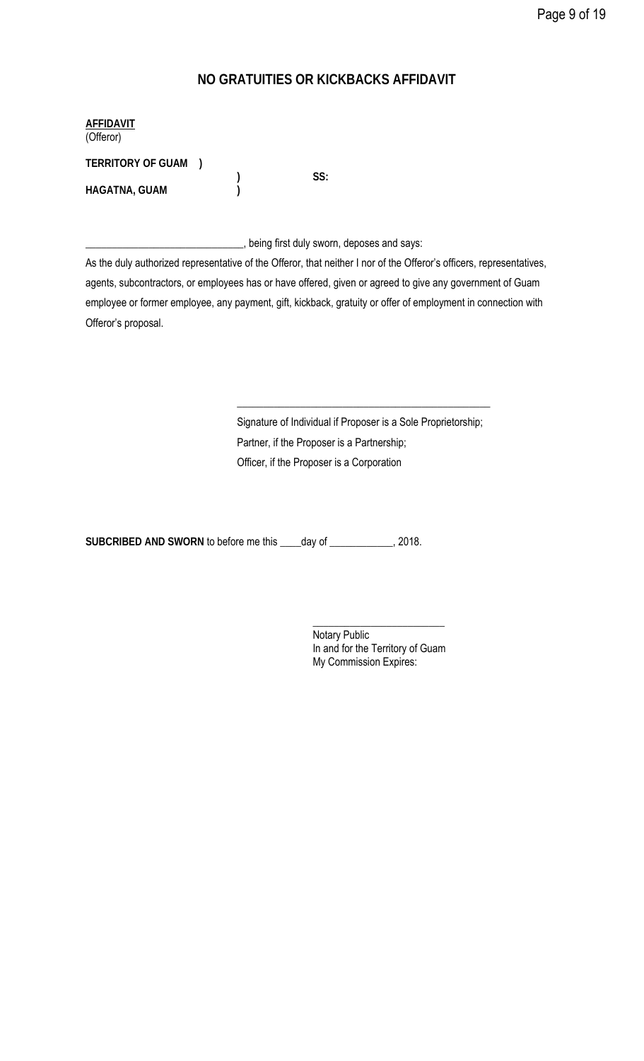# **NO GRATUITIES OR KICKBACKS AFFIDAVIT**

| <b>AFFIDAVIT</b><br>(Offeror) |  |  |     |
|-------------------------------|--|--|-----|
| <b>TERRITORY OF GUAM</b>      |  |  | SS: |
| <b>HAGATNA, GUAM</b>          |  |  |     |

\_\_\_\_\_\_\_\_\_\_\_\_\_\_\_\_\_\_\_\_\_\_\_\_\_\_\_\_\_\_, being first duly sworn, deposes and says:

As the duly authorized representative of the Offeror, that neither I nor of the Offeror's officers, representatives, agents, subcontractors, or employees has or have offered, given or agreed to give any government of Guam employee or former employee, any payment, gift, kickback, gratuity or offer of employment in connection with Offeror's proposal.

 $\frac{1}{\sqrt{2}}$  ,  $\frac{1}{\sqrt{2}}$  ,  $\frac{1}{\sqrt{2}}$  ,  $\frac{1}{\sqrt{2}}$  ,  $\frac{1}{\sqrt{2}}$  ,  $\frac{1}{\sqrt{2}}$  ,  $\frac{1}{\sqrt{2}}$  ,  $\frac{1}{\sqrt{2}}$  ,  $\frac{1}{\sqrt{2}}$  ,  $\frac{1}{\sqrt{2}}$  ,  $\frac{1}{\sqrt{2}}$  ,  $\frac{1}{\sqrt{2}}$  ,  $\frac{1}{\sqrt{2}}$  ,  $\frac{1}{\sqrt{2}}$  ,  $\frac{1}{\sqrt{2}}$ 

 Signature of Individual if Proposer is a Sole Proprietorship; Partner, if the Proposer is a Partnership; Officer, if the Proposer is a Corporation

**SUBCRIBED AND SWORN** to before me this \_\_\_\_day of \_\_\_\_\_\_\_\_\_\_\_\_, 2018.

 $\overline{\phantom{a}}$  , and the contract of the contract of the contract of the contract of the contract of the contract of the contract of the contract of the contract of the contract of the contract of the contract of the contrac Notary Public In and for the Territory of Guam My Commission Expires: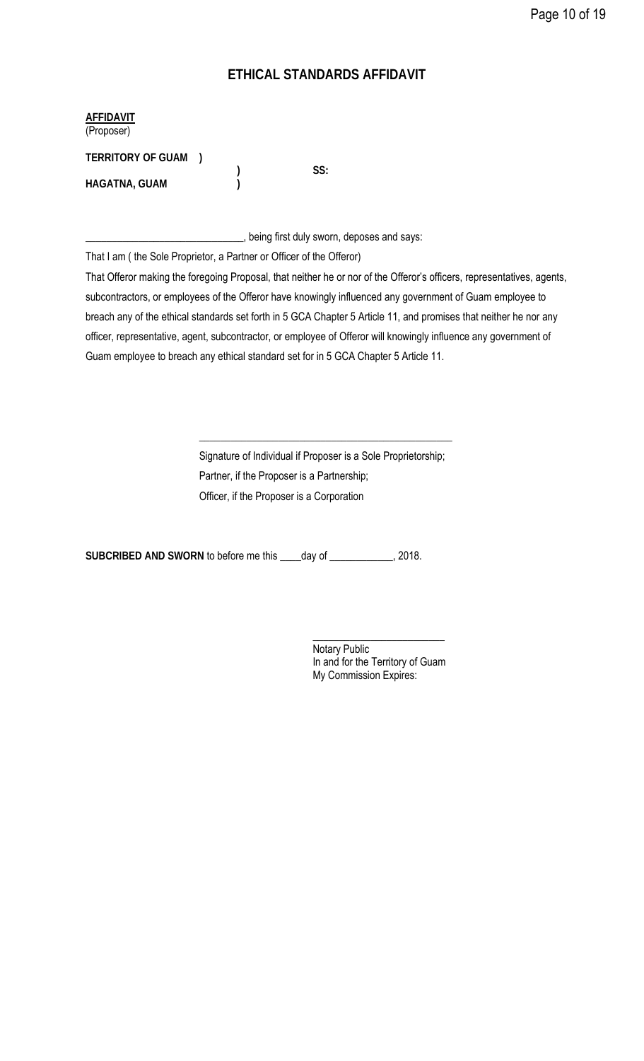# **ETHICAL STANDARDS AFFIDAVIT**

| AFFIDAVIT |
|-----------|
|           |

(Proposer) **TERRITORY OF GUAM )** 

 **) SS: HAGATNA, GUAM )** 

\_\_\_\_\_\_\_\_\_\_\_\_\_\_\_\_\_\_\_\_\_\_\_\_\_\_\_\_\_\_, being first duly sworn, deposes and says:

That I am ( the Sole Proprietor, a Partner or Officer of the Offeror)

That Offeror making the foregoing Proposal, that neither he or nor of the Offeror's officers, representatives, agents, subcontractors, or employees of the Offeror have knowingly influenced any government of Guam employee to breach any of the ethical standards set forth in 5 GCA Chapter 5 Article 11, and promises that neither he nor any officer, representative, agent, subcontractor, or employee of Offeror will knowingly influence any government of Guam employee to breach any ethical standard set for in 5 GCA Chapter 5 Article 11.

> Signature of Individual if Proposer is a Sole Proprietorship; Partner, if the Proposer is a Partnership; Officer, if the Proposer is a Corporation

**SUBCRIBED AND SWORN** to before me this \_\_\_\_day of \_\_\_\_\_\_\_\_\_\_\_\_, 2018.

 $\frac{1}{\sqrt{2}}$  ,  $\frac{1}{\sqrt{2}}$  ,  $\frac{1}{\sqrt{2}}$  ,  $\frac{1}{\sqrt{2}}$  ,  $\frac{1}{\sqrt{2}}$  ,  $\frac{1}{\sqrt{2}}$  ,  $\frac{1}{\sqrt{2}}$  ,  $\frac{1}{\sqrt{2}}$  ,  $\frac{1}{\sqrt{2}}$  ,  $\frac{1}{\sqrt{2}}$  ,  $\frac{1}{\sqrt{2}}$  ,  $\frac{1}{\sqrt{2}}$  ,  $\frac{1}{\sqrt{2}}$  ,  $\frac{1}{\sqrt{2}}$  ,  $\frac{1}{\sqrt{2}}$ 

 $\overline{\phantom{a}}$  , which is a set of the set of the set of the set of the set of the set of the set of the set of the set of the set of the set of the set of the set of the set of the set of the set of the set of the set of th Notary Public In and for the Territory of Guam My Commission Expires: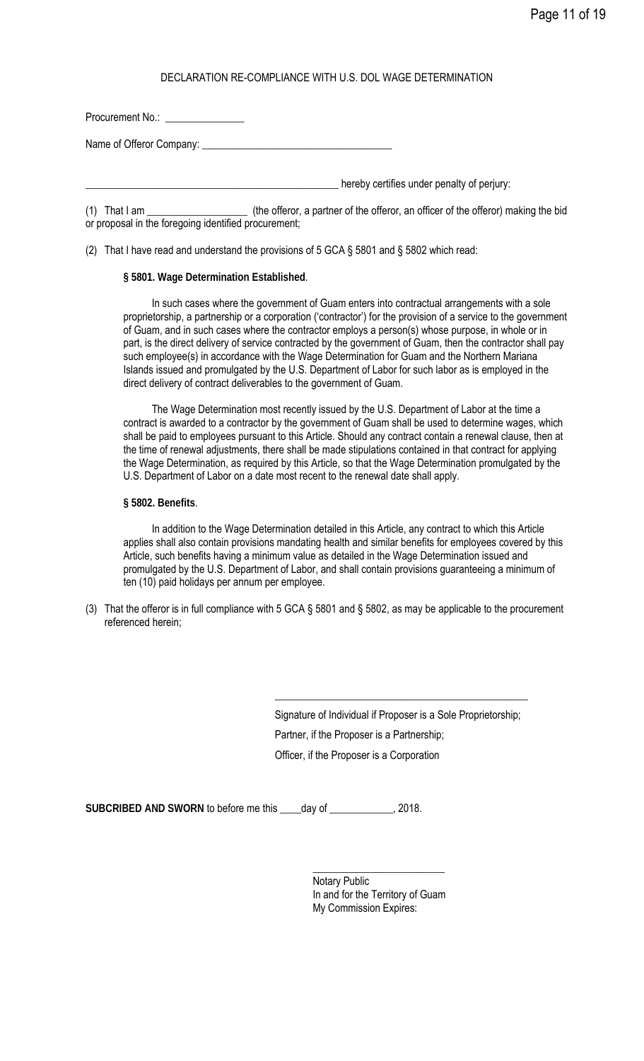## DECLARATION RE-COMPLIANCE WITH U.S. DOL WAGE DETERMINATION

| Procurement No.:         |  |  |
|--------------------------|--|--|
| Name of Offeror Company: |  |  |

hereby certifies under penalty of perjury:

(1) That I am \_\_\_\_\_\_\_\_\_\_\_\_\_\_\_\_\_\_\_ (the offeror, a partner of the offeror, an officer of the offeror) making the bid or proposal in the foregoing identified procurement;

(2) That I have read and understand the provisions of 5 GCA § 5801 and § 5802 which read:

**§ 5801. Wage Determination Established**.

In such cases where the government of Guam enters into contractual arrangements with a sole proprietorship, a partnership or a corporation ('contractor') for the provision of a service to the government of Guam, and in such cases where the contractor employs a person(s) whose purpose, in whole or in part, is the direct delivery of service contracted by the government of Guam, then the contractor shall pay such employee(s) in accordance with the Wage Determination for Guam and the Northern Mariana Islands issued and promulgated by the U.S. Department of Labor for such labor as is employed in the direct delivery of contract deliverables to the government of Guam.

The Wage Determination most recently issued by the U.S. Department of Labor at the time a contract is awarded to a contractor by the government of Guam shall be used to determine wages, which shall be paid to employees pursuant to this Article. Should any contract contain a renewal clause, then at the time of renewal adjustments, there shall be made stipulations contained in that contract for applying the Wage Determination, as required by this Article, so that the Wage Determination promulgated by the U.S. Department of Labor on a date most recent to the renewal date shall apply.

**§ 5802. Benefits**.

In addition to the Wage Determination detailed in this Article, any contract to which this Article applies shall also contain provisions mandating health and similar benefits for employees covered by this Article, such benefits having a minimum value as detailed in the Wage Determination issued and promulgated by the U.S. Department of Labor, and shall contain provisions guaranteeing a minimum of ten (10) paid holidays per annum per employee.

(3) That the offeror is in full compliance with 5 GCA § 5801 and § 5802, as may be applicable to the procurement referenced herein;

> Signature of Individual if Proposer is a Sole Proprietorship; Partner, if the Proposer is a Partnership; Officer, if the Proposer is a Corporation

\_\_\_\_\_\_\_\_\_\_\_\_\_\_\_\_\_\_\_\_\_\_\_\_\_\_\_\_\_\_\_\_\_\_\_\_\_\_\_\_\_\_\_\_\_\_\_\_

**SUBCRIBED AND SWORN** to before me this \_\_\_\_day of \_\_\_\_\_\_\_\_\_\_\_\_, 2018.

 $\mathcal{L}_\text{max}$  and  $\mathcal{L}_\text{max}$  and  $\mathcal{L}_\text{max}$  and  $\mathcal{L}_\text{max}$  and  $\mathcal{L}_\text{max}$  Notary Public In and for the Territory of Guam My Commission Expires: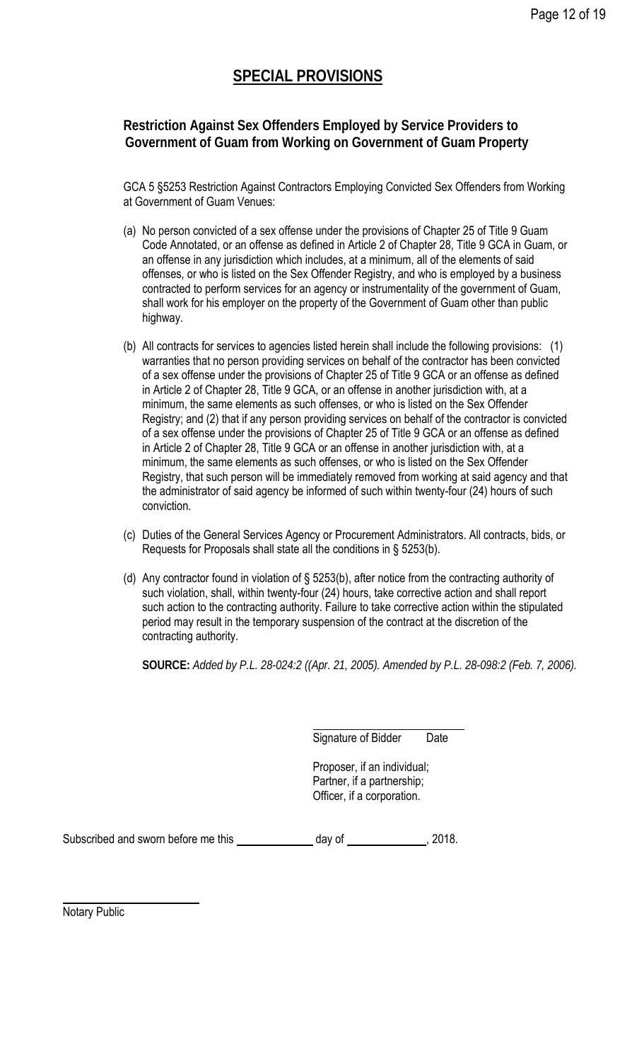# **SPECIAL PROVISIONS**

## **Restriction Against Sex Offenders Employed by Service Providers to Government of Guam from Working on Government of Guam Property**

GCA 5 §5253 Restriction Against Contractors Employing Convicted Sex Offenders from Working at Government of Guam Venues:

- (a) No person convicted of a sex offense under the provisions of Chapter 25 of Title 9 Guam Code Annotated, or an offense as defined in Article 2 of Chapter 28, Title 9 GCA in Guam, or an offense in any jurisdiction which includes, at a minimum, all of the elements of said offenses, or who is listed on the Sex Offender Registry, and who is employed by a business contracted to perform services for an agency or instrumentality of the government of Guam, shall work for his employer on the property of the Government of Guam other than public highway.
- (b) All contracts for services to agencies listed herein shall include the following provisions: (1) warranties that no person providing services on behalf of the contractor has been convicted of a sex offense under the provisions of Chapter 25 of Title 9 GCA or an offense as defined in Article 2 of Chapter 28, Title 9 GCA, or an offense in another jurisdiction with, at a minimum, the same elements as such offenses, or who is listed on the Sex Offender Registry; and (2) that if any person providing services on behalf of the contractor is convicted of a sex offense under the provisions of Chapter 25 of Title 9 GCA or an offense as defined in Article 2 of Chapter 28, Title 9 GCA or an offense in another jurisdiction with, at a minimum, the same elements as such offenses, or who is listed on the Sex Offender Registry, that such person will be immediately removed from working at said agency and that the administrator of said agency be informed of such within twenty-four (24) hours of such conviction.
- (c) Duties of the General Services Agency or Procurement Administrators. All contracts, bids, or Requests for Proposals shall state all the conditions in § 5253(b).
- (d) Any contractor found in violation of § 5253(b), after notice from the contracting authority of such violation, shall, within twenty-four (24) hours, take corrective action and shall report such action to the contracting authority. Failure to take corrective action within the stipulated period may result in the temporary suspension of the contract at the discretion of the contracting authority.

**SOURCE:** *Added by P.L. 28-024:2 ((Apr. 21, 2005). Amended by P.L. 28-098:2 (Feb. 7, 2006).*

Signature of Bidder Date

 Proposer, if an individual; Partner, if a partnership; Officer, if a corporation.

Subscribed and sworn before me this day of , 2018.

Notary Public

l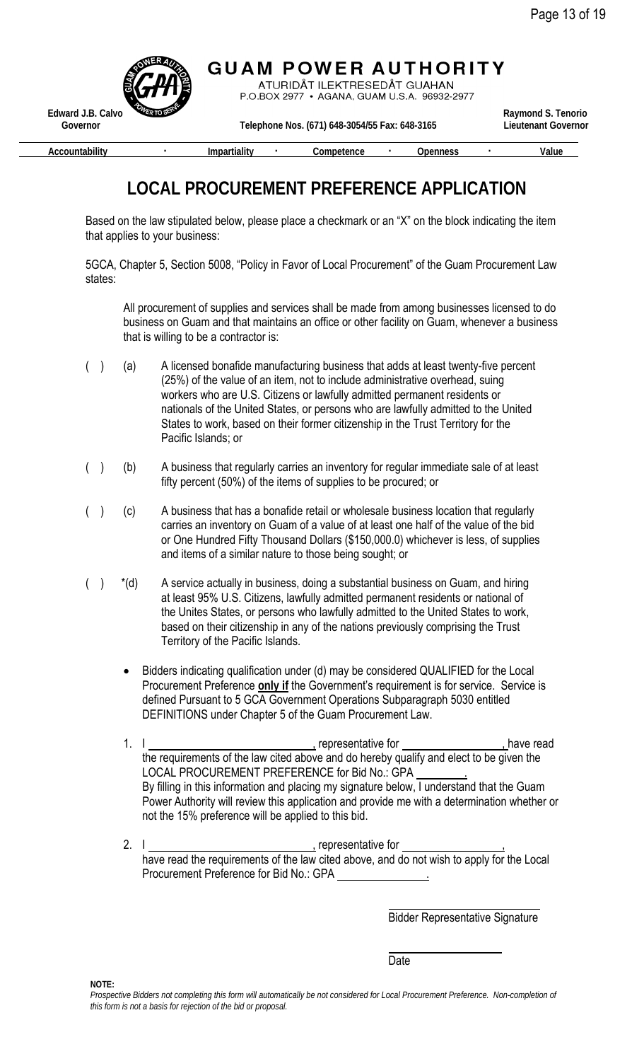

**EXECOUNTABILITY** 1 **IMPARTIALITY** 1 **Competence · Openness** · Value

# **LOCAL PROCUREMENT PREFERENCE APPLICATION**

Based on the law stipulated below, please place a checkmark or an "X" on the block indicating the item that applies to your business:

5GCA, Chapter 5, Section 5008, "Policy in Favor of Local Procurement" of the Guam Procurement Law states:

All procurement of supplies and services shall be made from among businesses licensed to do business on Guam and that maintains an office or other facility on Guam, whenever a business that is willing to be a contractor is:

- ( ) (a) A licensed bonafide manufacturing business that adds at least twenty-five percent (25%) of the value of an item, not to include administrative overhead, suing workers who are U.S. Citizens or lawfully admitted permanent residents or nationals of the United States, or persons who are lawfully admitted to the United States to work, based on their former citizenship in the Trust Territory for the Pacific Islands; or
- ( ) (b) A business that regularly carries an inventory for regular immediate sale of at least fifty percent (50%) of the items of supplies to be procured; or
- ( ) (c) A business that has a bonafide retail or wholesale business location that regularly carries an inventory on Guam of a value of at least one half of the value of the bid or One Hundred Fifty Thousand Dollars (\$150,000.0) whichever is less, of supplies and items of a similar nature to those being sought; or
- $($ )  $*(d)$  A service actually in business, doing a substantial business on Guam, and hiring at least 95% U.S. Citizens, lawfully admitted permanent residents or national of the Unites States, or persons who lawfully admitted to the United States to work, based on their citizenship in any of the nations previously comprising the Trust Territory of the Pacific Islands.
	- Bidders indicating qualification under (d) may be considered QUALIFIED for the Local Procurement Preference **only if** the Government's requirement is for service. Service is defined Pursuant to 5 GCA Government Operations Subparagraph 5030 entitled DEFINITIONS under Chapter 5 of the Guam Procurement Law.
	- 1. I , representative for , have read the requirements of the law cited above and do hereby qualify and elect to be given the LOCAL PROCUREMENT PREFERENCE for Bid No.: GPA . By filling in this information and placing my signature below, I understand that the Guam Power Authority will review this application and provide me with a determination whether or not the 15% preference will be applied to this bid.
	- 2. I interesting the set of the set of the set of the set of the set of the set of the set of the set of the set of the set of the set of the set of the set of the set of the set of the set of the set of the set of the set have read the requirements of the law cited above, and do not wish to apply for the Local Procurement Preference for Bid No.: GPA .

Bidder Representative Signature

**Date** and the contract of the contract of the Date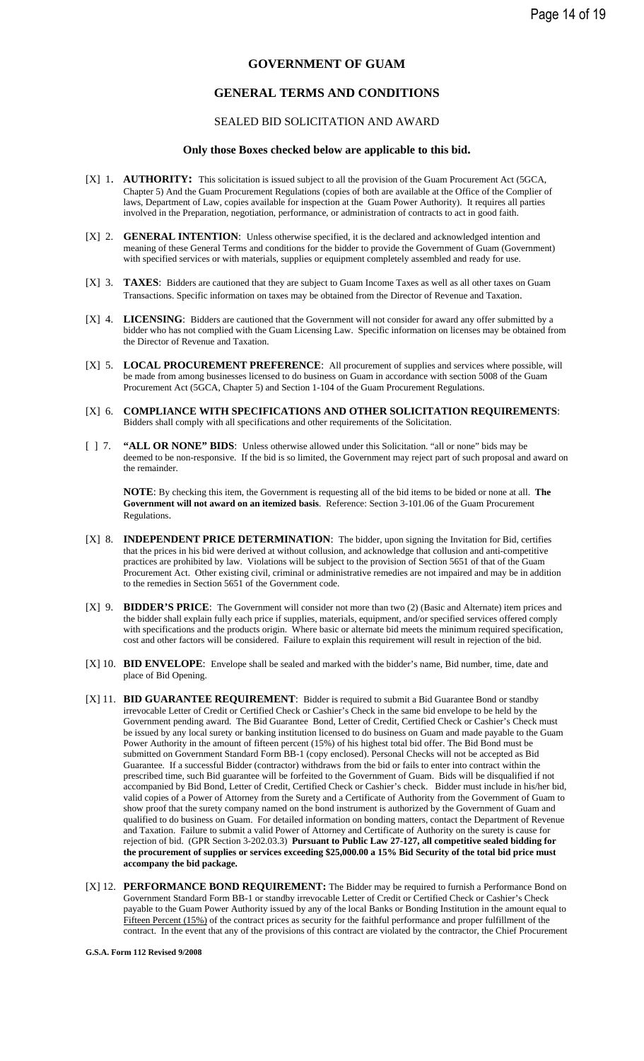#### **GOVERNMENT OF GUAM**

## **GENERAL TERMS AND CONDITIONS**

## SEALED BID SOLICITATION AND AWARD

#### **Only those Boxes checked below are applicable to this bid.**

- [X] 1. **AUTHORITY:** This solicitation is issued subject to all the provision of the Guam Procurement Act (5GCA, Chapter 5) And the Guam Procurement Regulations (copies of both are available at the Office of the Complier of laws, Department of Law, copies available for inspection at the Guam Power Authority). It requires all parties involved in the Preparation, negotiation, performance, or administration of contracts to act in good faith.
- [X] 2. **GENERAL INTENTION**: Unless otherwise specified, it is the declared and acknowledged intention and meaning of these General Terms and conditions for the bidder to provide the Government of Guam (Government) with specified services or with materials, supplies or equipment completely assembled and ready for use.
- [X] 3. **TAXES**: Bidders are cautioned that they are subject to Guam Income Taxes as well as all other taxes on Guam Transactions. Specific information on taxes may be obtained from the Director of Revenue and Taxation.
- [X] 4. **LICENSING**: Bidders are cautioned that the Government will not consider for award any offer submitted by a bidder who has not complied with the Guam Licensing Law. Specific information on licenses may be obtained from the Director of Revenue and Taxation.
- [X] 5. **LOCAL PROCUREMENT PREFERENCE**: All procurement of supplies and services where possible, will be made from among businesses licensed to do business on Guam in accordance with section 5008 of the Guam Procurement Act (5GCA, Chapter 5) and Section 1-104 of the Guam Procurement Regulations.
- [X] 6. **COMPLIANCE WITH SPECIFICATIONS AND OTHER SOLICITATION REQUIREMENTS**: Bidders shall comply with all specifications and other requirements of the Solicitation.
- [ ] 7. **"ALL OR NONE" BIDS**: Unless otherwise allowed under this Solicitation. "all or none" bids may be deemed to be non-responsive. If the bid is so limited, the Government may reject part of such proposal and award on the remainder.

**NOTE**: By checking this item, the Government is requesting all of the bid items to be bided or none at all. **The Government will not award on an itemized basis**. Reference: Section 3-101.06 of the Guam Procurement Regulations.

- [X] 8. **INDEPENDENT PRICE DETERMINATION**: The bidder, upon signing the Invitation for Bid, certifies that the prices in his bid were derived at without collusion, and acknowledge that collusion and anti-competitive practices are prohibited by law. Violations will be subject to the provision of Section 5651 of that of the Guam Procurement Act. Other existing civil, criminal or administrative remedies are not impaired and may be in addition to the remedies in Section 5651 of the Government code.
- [X] 9. **BIDDER'S PRICE**: The Government will consider not more than two (2) (Basic and Alternate) item prices and the bidder shall explain fully each price if supplies, materials, equipment, and/or specified services offered comply with specifications and the products origin. Where basic or alternate bid meets the minimum required specification, cost and other factors will be considered. Failure to explain this requirement will result in rejection of the bid.
- [X] 10. **BID ENVELOPE**: Envelope shall be sealed and marked with the bidder's name, Bid number, time, date and place of Bid Opening.
- [X] 11. **BID GUARANTEE REQUIREMENT**: Bidder is required to submit a Bid Guarantee Bond or standby irrevocable Letter of Credit or Certified Check or Cashier's Check in the same bid envelope to be held by the Government pending award. The Bid Guarantee Bond, Letter of Credit, Certified Check or Cashier's Check must be issued by any local surety or banking institution licensed to do business on Guam and made payable to the Guam Power Authority in the amount of fifteen percent (15%) of his highest total bid offer. The Bid Bond must be submitted on Government Standard Form BB-1 (copy enclosed). Personal Checks will not be accepted as Bid Guarantee. If a successful Bidder (contractor) withdraws from the bid or fails to enter into contract within the prescribed time, such Bid guarantee will be forfeited to the Government of Guam. Bids will be disqualified if not accompanied by Bid Bond, Letter of Credit, Certified Check or Cashier's check. Bidder must include in his/her bid, valid copies of a Power of Attorney from the Surety and a Certificate of Authority from the Government of Guam to show proof that the surety company named on the bond instrument is authorized by the Government of Guam and qualified to do business on Guam. For detailed information on bonding matters, contact the Department of Revenue and Taxation. Failure to submit a valid Power of Attorney and Certificate of Authority on the surety is cause for rejection of bid. (GPR Section 3-202.03.3) **Pursuant to Public Law 27-127, all competitive sealed bidding for the procurement of supplies or services exceeding \$25,000.00 a 15% Bid Security of the total bid price must accompany the bid package.**
- [X] 12. **PERFORMANCE BOND REQUIREMENT:** The Bidder may be required to furnish a Performance Bond on Government Standard Form BB-1 or standby irrevocable Letter of Credit or Certified Check or Cashier's Check payable to the Guam Power Authority issued by any of the local Banks or Bonding Institution in the amount equal to Fifteen Percent (15%) of the contract prices as security for the faithful performance and proper fulfillment of the contract. In the event that any of the provisions of this contract are violated by the contractor, the Chief Procurement

**G.S.A. Form 112 Revised 9/2008**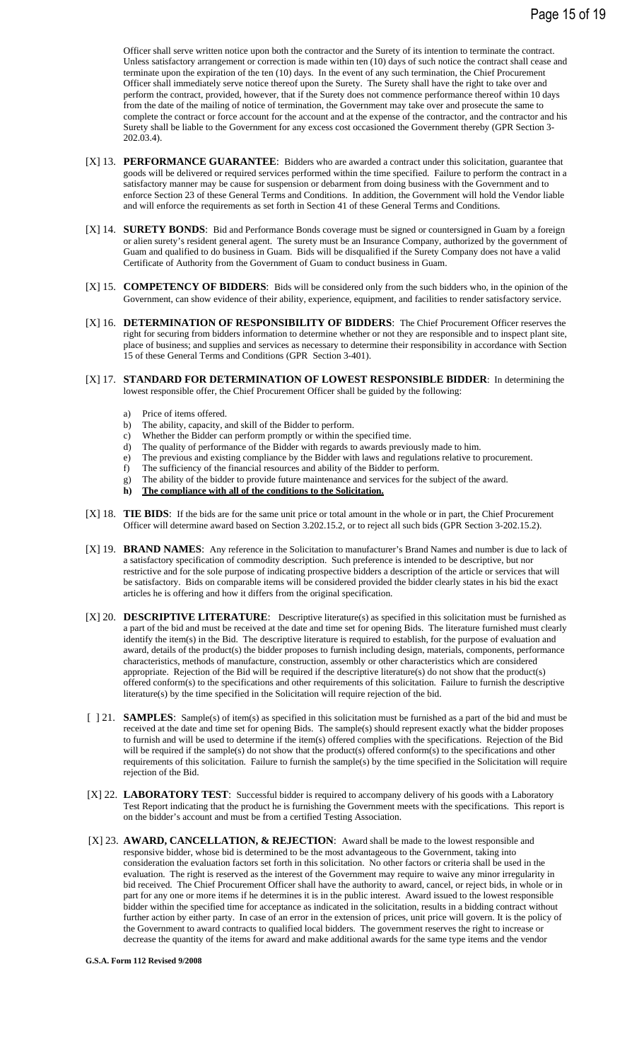Officer shall serve written notice upon both the contractor and the Surety of its intention to terminate the contract. Unless satisfactory arrangement or correction is made within ten (10) days of such notice the contract shall cease and terminate upon the expiration of the ten (10) days. In the event of any such termination, the Chief Procurement Officer shall immediately serve notice thereof upon the Surety. The Surety shall have the right to take over and perform the contract, provided, however, that if the Surety does not commence performance thereof within 10 days from the date of the mailing of notice of termination, the Government may take over and prosecute the same to complete the contract or force account for the account and at the expense of the contractor, and the contractor and his Surety shall be liable to the Government for any excess cost occasioned the Government thereby (GPR Section 3- 202.03.4).

- [X] 13. **PERFORMANCE GUARANTEE**: Bidders who are awarded a contract under this solicitation, guarantee that goods will be delivered or required services performed within the time specified. Failure to perform the contract in a satisfactory manner may be cause for suspension or debarment from doing business with the Government and to enforce Section 23 of these General Terms and Conditions. In addition, the Government will hold the Vendor liable and will enforce the requirements as set forth in Section 41 of these General Terms and Conditions.
- [X] 14. **SURETY BONDS**: Bid and Performance Bonds coverage must be signed or countersigned in Guam by a foreign or alien surety's resident general agent. The surety must be an Insurance Company, authorized by the government of Guam and qualified to do business in Guam. Bids will be disqualified if the Surety Company does not have a valid Certificate of Authority from the Government of Guam to conduct business in Guam.
- [X] 15. **COMPETENCY OF BIDDERS**: Bids will be considered only from the such bidders who, in the opinion of the Government, can show evidence of their ability, experience, equipment, and facilities to render satisfactory service.
- [X] 16. **DETERMINATION OF RESPONSIBILITY OF BIDDERS**: The Chief Procurement Officer reserves the right for securing from bidders information to determine whether or not they are responsible and to inspect plant site, place of business; and supplies and services as necessary to determine their responsibility in accordance with Section 15 of these General Terms and Conditions (GPR Section 3-401).
- [X] 17. **STANDARD FOR DETERMINATION OF LOWEST RESPONSIBLE BIDDER**: In determining the lowest responsible offer, the Chief Procurement Officer shall be guided by the following:
	- Price of items offered.
	- b) The ability, capacity, and skill of the Bidder to perform.
	- c) Whether the Bidder can perform promptly or within the specified time.
	- d) The quality of performance of the Bidder with regards to awards previously made to him.
	- e) The previous and existing compliance by the Bidder with laws and regulations relative to procurement.
	- f) The sufficiency of the financial resources and ability of the Bidder to perform.
	- g) The ability of the bidder to provide future maintenance and services for the subject of the award.
	- **h) The compliance with all of the conditions to the Solicitation.**
- [X] 18. **TIE BIDS**: If the bids are for the same unit price or total amount in the whole or in part, the Chief Procurement Officer will determine award based on Section 3.202.15.2, or to reject all such bids (GPR Section 3-202.15.2).
- [X] 19. **BRAND NAMES**: Any reference in the Solicitation to manufacturer's Brand Names and number is due to lack of a satisfactory specification of commodity description. Such preference is intended to be descriptive, but nor restrictive and for the sole purpose of indicating prospective bidders a description of the article or services that will be satisfactory. Bids on comparable items will be considered provided the bidder clearly states in his bid the exact articles he is offering and how it differs from the original specification.
- [X] 20. **DESCRIPTIVE LITERATURE**: Descriptive literature(s) as specified in this solicitation must be furnished as a part of the bid and must be received at the date and time set for opening Bids. The literature furnished must clearly identify the item(s) in the Bid. The descriptive literature is required to establish, for the purpose of evaluation and award, details of the product(s) the bidder proposes to furnish including design, materials, components, performance characteristics, methods of manufacture, construction, assembly or other characteristics which are considered appropriate. Rejection of the Bid will be required if the descriptive literature(s) do not show that the product(s) offered conform(s) to the specifications and other requirements of this solicitation. Failure to furnish the descriptive literature(s) by the time specified in the Solicitation will require rejection of the bid.
- [ ] 21. **SAMPLES**: Sample(s) of item(s) as specified in this solicitation must be furnished as a part of the bid and must be received at the date and time set for opening Bids. The sample(s) should represent exactly what the bidder proposes to furnish and will be used to determine if the item(s) offered complies with the specifications. Rejection of the Bid will be required if the sample(s) do not show that the product(s) offered conform(s) to the specifications and other requirements of this solicitation. Failure to furnish the sample(s) by the time specified in the Solicitation will require rejection of the Bid.
- [X] 22. **LABORATORY TEST**: Successful bidder is required to accompany delivery of his goods with a Laboratory Test Report indicating that the product he is furnishing the Government meets with the specifications. This report is on the bidder's account and must be from a certified Testing Association.
- [X] 23. **AWARD, CANCELLATION, & REJECTION**: Award shall be made to the lowest responsible and responsive bidder, whose bid is determined to be the most advantageous to the Government, taking into consideration the evaluation factors set forth in this solicitation. No other factors or criteria shall be used in the evaluation. The right is reserved as the interest of the Government may require to waive any minor irregularity in bid received. The Chief Procurement Officer shall have the authority to award, cancel, or reject bids, in whole or in part for any one or more items if he determines it is in the public interest. Award issued to the lowest responsible bidder within the specified time for acceptance as indicated in the solicitation, results in a bidding contract without further action by either party. In case of an error in the extension of prices, unit price will govern. It is the policy of the Government to award contracts to qualified local bidders. The government reserves the right to increase or decrease the quantity of the items for award and make additional awards for the same type items and the vendor

#### **G.S.A. Form 112 Revised 9/2008**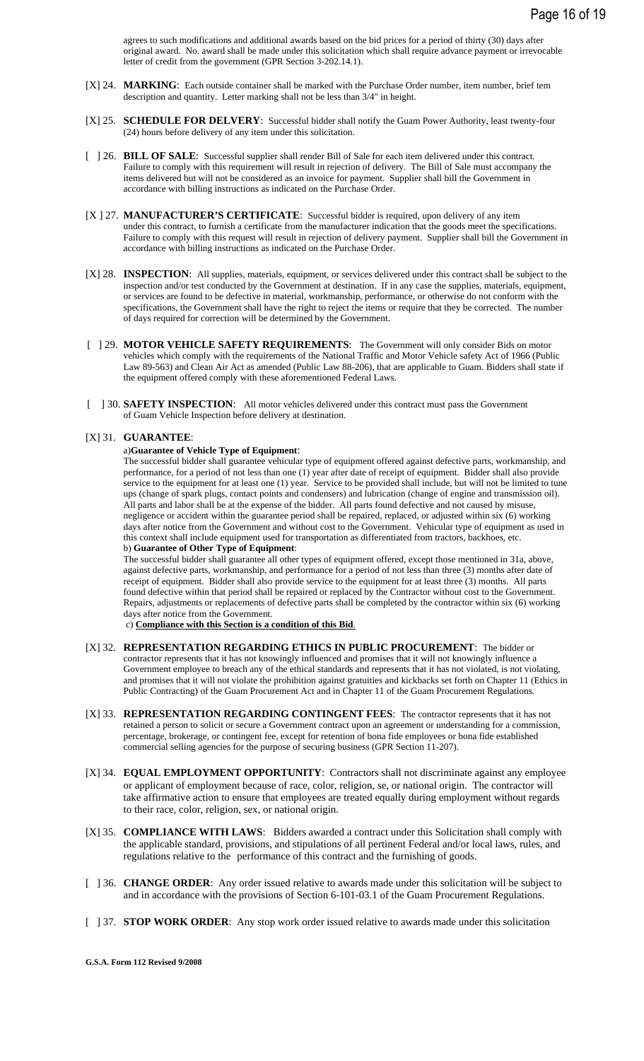agrees to such modifications and additional awards based on the bid prices for a period of thirty (30) days after original award. No. award shall be made under this solicitation which shall require advance payment or irrevocable letter of credit from the government (GPR Section 3-202.14.1).

- [X] 24. **MARKING**: Each outside container shall be marked with the Purchase Order number, item number, brief tem description and quantity. Letter marking shall not be less than 3/4" in height.
- [X] 25. **SCHEDULE FOR DELVERY**: Successful bidder shall notify the Guam Power Authority, least twenty-four (24) hours before delivery of any item under this solicitation.
- [ ] 26. **BILL OF SALE**: Successful supplier shall render Bill of Sale for each item delivered under this contract. Failure to comply with this requirement will result in rejection of delivery. The Bill of Sale must accompany the items delivered but will not be considered as an invoice for payment. Supplier shall bill the Government in accordance with billing instructions as indicated on the Purchase Order.
- [X ] 27. **MANUFACTURER'S CERTIFICATE**: Successful bidder is required, upon delivery of any item under this contract, to furnish a certificate from the manufacturer indication that the goods meet the specifications. Failure to comply with this request will result in rejection of delivery payment. Supplier shall bill the Government in accordance with billing instructions as indicated on the Purchase Order.
- [X] 28. **INSPECTION**: All supplies, materials, equipment, or services delivered under this contract shall be subject to the inspection and/or test conducted by the Government at destination. If in any case the supplies, materials, equipment, or services are found to be defective in material, workmanship, performance, or otherwise do not conform with the specifications, the Government shall have the right to reject the items or require that they be corrected. The number of days required for correction will be determined by the Government.
- [ ] 29. **MOTOR VEHICLE SAFETY REQUIREMENTS**: The Government will only consider Bids on motor vehicles which comply with the requirements of the National Traffic and Motor Vehicle safety Act of 1966 (Public Law 89-563) and Clean Air Act as amended (Public Law 88-206), that are applicable to Guam. Bidders shall state if the equipment offered comply with these aforementioned Federal Laws.
- [ ] 30. **SAFETY INSPECTION:** All motor vehicles delivered under this contract must pass the Government of Guam Vehicle Inspection before delivery at destination.

#### [X] 31. **GUARANTEE**:

#### a)**Guarantee of Vehicle Type of Equipment**:

The successful bidder shall guarantee vehicular type of equipment offered against defective parts, workmanship, and performance, for a period of not less than one (1) year after date of receipt of equipment. Bidder shall also provide service to the equipment for at least one (1) year. Service to be provided shall include, but will not be limited to tune ups (change of spark plugs, contact points and condensers) and lubrication (change of engine and transmission oil). All parts and labor shall be at the expense of the bidder. All parts found defective and not caused by misuse, negligence or accident within the guarantee period shall be repaired, replaced, or adjusted within six (6) working days after notice from the Government and without cost to the Government. Vehicular type of equipment as used in this context shall include equipment used for transportation as differentiated from tractors, backhoes, etc. b) **Guarantee of Other Type of Equipment**:

The successful bidder shall guarantee all other types of equipment offered, except those mentioned in 31a, above, against defective parts, workmanship, and performance for a period of not less than three (3) months after date of receipt of equipment. Bidder shall also provide service to the equipment for at least three (3) months. All parts found defective within that period shall be repaired or replaced by the Contractor without cost to the Government. Repairs, adjustments or replacements of defective parts shall be completed by the contractor within six (6) working days after notice from the Government.

c) **Compliance with this Section is a condition of this Bid**.

- [X] 32. **REPRESENTATION REGARDING ETHICS IN PUBLIC PROCUREMENT**: The bidder or contractor represents that it has not knowingly influenced and promises that it will not knowingly influence a Government employee to breach any of the ethical standards and represents that it has not violated, is not violating, and promises that it will not violate the prohibition against gratuities and kickbacks set forth on Chapter 11 (Ethics in Public Contracting) of the Guam Procurement Act and in Chapter 11 of the Guam Procurement Regulations.
- [X] 33. **REPRESENTATION REGARDING CONTINGENT FEES**: The contractor represents that it has not retained a person to solicit or secure a Government contract upon an agreement or understanding for a commission, percentage, brokerage, or contingent fee, except for retention of bona fide employees or bona fide established commercial selling agencies for the purpose of securing business (GPR Section 11-207).
- [X] 34. **EQUAL EMPLOYMENT OPPORTUNITY**: Contractors shall not discriminate against any employee or applicant of employment because of race, color, religion, se, or national origin. The contractor will take affirmative action to ensure that employees are treated equally during employment without regards to their race, color, religion, sex, or national origin.
- [X] 35. **COMPLIANCE WITH LAWS**: Bidders awarded a contract under this Solicitation shall comply with the applicable standard, provisions, and stipulations of all pertinent Federal and/or local laws, rules, and regulations relative to the performance of this contract and the furnishing of goods.
- [ ] 36. **CHANGE ORDER**: Any order issued relative to awards made under this solicitation will be subject to and in accordance with the provisions of Section 6-101-03.1 of the Guam Procurement Regulations.
- [ ] 37. **STOP WORK ORDER**: Any stop work order issued relative to awards made under this solicitation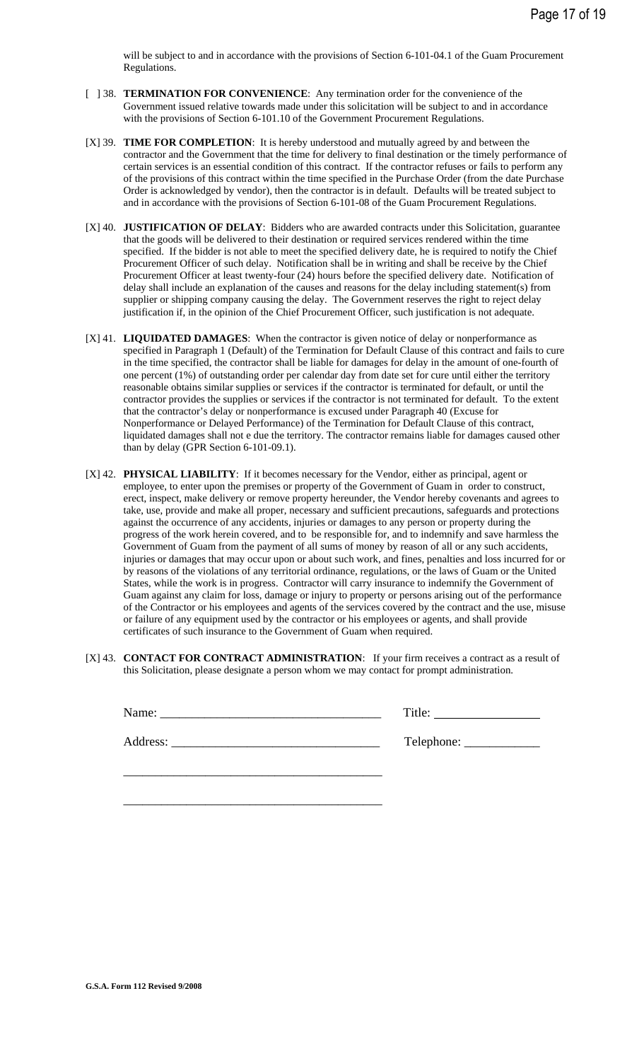will be subject to and in accordance with the provisions of Section 6-101-04.1 of the Guam Procurement Regulations.

- [ ] 38. **TERMINATION FOR CONVENIENCE**: Any termination order for the convenience of the Government issued relative towards made under this solicitation will be subject to and in accordance with the provisions of Section 6-101.10 of the Government Procurement Regulations.
- [X] 39. **TIME FOR COMPLETION**: It is hereby understood and mutually agreed by and between the contractor and the Government that the time for delivery to final destination or the timely performance of certain services is an essential condition of this contract. If the contractor refuses or fails to perform any of the provisions of this contract within the time specified in the Purchase Order (from the date Purchase Order is acknowledged by vendor), then the contractor is in default. Defaults will be treated subject to and in accordance with the provisions of Section 6-101-08 of the Guam Procurement Regulations.
- [X] 40. **JUSTIFICATION OF DELAY**: Bidders who are awarded contracts under this Solicitation, guarantee that the goods will be delivered to their destination or required services rendered within the time specified. If the bidder is not able to meet the specified delivery date, he is required to notify the Chief Procurement Officer of such delay. Notification shall be in writing and shall be receive by the Chief Procurement Officer at least twenty-four (24) hours before the specified delivery date. Notification of delay shall include an explanation of the causes and reasons for the delay including statement(s) from supplier or shipping company causing the delay. The Government reserves the right to reject delay justification if, in the opinion of the Chief Procurement Officer, such justification is not adequate.
- [X] 41. **LIQUIDATED DAMAGES**: When the contractor is given notice of delay or nonperformance as specified in Paragraph 1 (Default) of the Termination for Default Clause of this contract and fails to cure in the time specified, the contractor shall be liable for damages for delay in the amount of one-fourth of one percent (1%) of outstanding order per calendar day from date set for cure until either the territory reasonable obtains similar supplies or services if the contractor is terminated for default, or until the contractor provides the supplies or services if the contractor is not terminated for default. To the extent that the contractor's delay or nonperformance is excused under Paragraph 40 (Excuse for Nonperformance or Delayed Performance) of the Termination for Default Clause of this contract, liquidated damages shall not e due the territory. The contractor remains liable for damages caused other than by delay (GPR Section 6-101-09.1).
- [X] 42. **PHYSICAL LIABILITY**: If it becomes necessary for the Vendor, either as principal, agent or employee, to enter upon the premises or property of the Government of Guam in order to construct, erect, inspect, make delivery or remove property hereunder, the Vendor hereby covenants and agrees to take, use, provide and make all proper, necessary and sufficient precautions, safeguards and protections against the occurrence of any accidents, injuries or damages to any person or property during the progress of the work herein covered, and to be responsible for, and to indemnify and save harmless the Government of Guam from the payment of all sums of money by reason of all or any such accidents, injuries or damages that may occur upon or about such work, and fines, penalties and loss incurred for or by reasons of the violations of any territorial ordinance, regulations, or the laws of Guam or the United States, while the work is in progress. Contractor will carry insurance to indemnify the Government of Guam against any claim for loss, damage or injury to property or persons arising out of the performance of the Contractor or his employees and agents of the services covered by the contract and the use, misuse or failure of any equipment used by the contractor or his employees or agents, and shall provide certificates of such insurance to the Government of Guam when required.
- [X] 43. **CONTACT FOR CONTRACT ADMINISTRATION**: If your firm receives a contract as a result of this Solicitation, please designate a person whom we may contact for prompt administration.

Name: \_\_\_\_\_\_\_\_\_\_\_\_\_\_\_\_\_\_\_\_\_\_\_\_\_\_\_\_\_\_\_\_\_\_\_ Title:

Address: \_\_\_\_\_\_\_\_\_\_\_\_\_\_\_\_\_\_\_\_\_\_\_\_\_\_\_\_\_\_\_\_\_ Telephone: \_\_\_\_\_\_\_\_\_\_\_\_

| Title: |  |
|--------|--|
|        |  |

| Telephone: |  |
|------------|--|
|------------|--|

\_\_\_\_\_\_\_\_\_\_\_\_\_\_\_\_\_\_\_\_\_\_\_\_\_\_\_\_\_\_\_\_\_\_\_\_\_\_\_\_\_

\_\_\_\_\_\_\_\_\_\_\_\_\_\_\_\_\_\_\_\_\_\_\_\_\_\_\_\_\_\_\_\_\_\_\_\_\_\_\_\_\_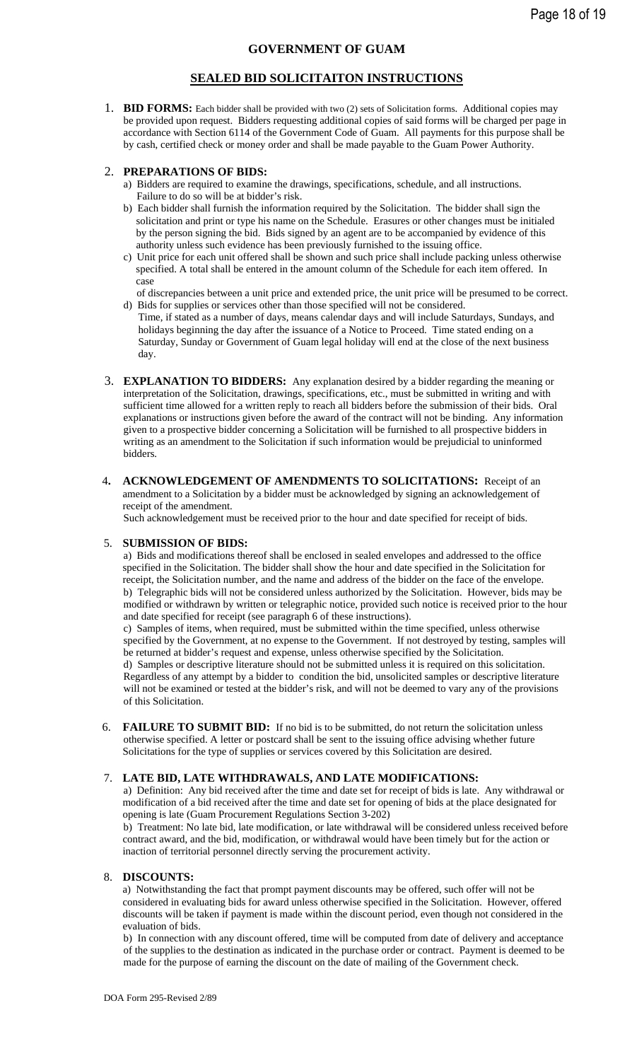## **GOVERNMENT OF GUAM**

#### **SEALED BID SOLICITAITON INSTRUCTIONS**

1. **BID FORMS:** Each bidder shall be provided with two (2) sets of Solicitation forms. Additional copies may be provided upon request. Bidders requesting additional copies of said forms will be charged per page in accordance with Section 6114 of the Government Code of Guam. All payments for this purpose shall be by cash, certified check or money order and shall be made payable to the Guam Power Authority.

#### 2. **PREPARATIONS OF BIDS:**

- a) Bidders are required to examine the drawings, specifications, schedule, and all instructions. Failure to do so will be at bidder's risk.
- b) Each bidder shall furnish the information required by the Solicitation. The bidder shall sign the solicitation and print or type his name on the Schedule. Erasures or other changes must be initialed by the person signing the bid. Bids signed by an agent are to be accompanied by evidence of this authority unless such evidence has been previously furnished to the issuing office.
- c) Unit price for each unit offered shall be shown and such price shall include packing unless otherwise specified. A total shall be entered in the amount column of the Schedule for each item offered. In case
- of discrepancies between a unit price and extended price, the unit price will be presumed to be correct. d) Bids for supplies or services other than those specified will not be considered.
- Time, if stated as a number of days, means calendar days and will include Saturdays, Sundays, and holidays beginning the day after the issuance of a Notice to Proceed. Time stated ending on a Saturday, Sunday or Government of Guam legal holiday will end at the close of the next business day.
- 3. **EXPLANATION TO BIDDERS:** Any explanation desired by a bidder regarding the meaning or interpretation of the Solicitation, drawings, specifications, etc., must be submitted in writing and with sufficient time allowed for a written reply to reach all bidders before the submission of their bids. Oral explanations or instructions given before the award of the contract will not be binding. Any information given to a prospective bidder concerning a Solicitation will be furnished to all prospective bidders in writing as an amendment to the Solicitation if such information would be prejudicial to uninformed bidders.
- 4**. ACKNOWLEDGEMENT OF AMENDMENTS TO SOLICITATIONS:** Receipt of an amendment to a Solicitation by a bidder must be acknowledged by signing an acknowledgement of receipt of the amendment.

Such acknowledgement must be received prior to the hour and date specified for receipt of bids.

#### 5. **SUBMISSION OF BIDS:**

a) Bids and modifications thereof shall be enclosed in sealed envelopes and addressed to the office specified in the Solicitation. The bidder shall show the hour and date specified in the Solicitation for receipt, the Solicitation number, and the name and address of the bidder on the face of the envelope. b) Telegraphic bids will not be considered unless authorized by the Solicitation. However, bids may be modified or withdrawn by written or telegraphic notice, provided such notice is received prior to the hour and date specified for receipt (see paragraph 6 of these instructions).

c) Samples of items, when required, must be submitted within the time specified, unless otherwise specified by the Government, at no expense to the Government. If not destroyed by testing, samples will be returned at bidder's request and expense, unless otherwise specified by the Solicitation. d) Samples or descriptive literature should not be submitted unless it is required on this solicitation. Regardless of any attempt by a bidder to condition the bid, unsolicited samples or descriptive literature will not be examined or tested at the bidder's risk, and will not be deemed to vary any of the provisions of this Solicitation.

6. **FAILURE TO SUBMIT BID:** If no bid is to be submitted, do not return the solicitation unless otherwise specified. A letter or postcard shall be sent to the issuing office advising whether future Solicitations for the type of supplies or services covered by this Solicitation are desired.

#### 7. **LATE BID, LATE WITHDRAWALS, AND LATE MODIFICATIONS:**

a) Definition: Any bid received after the time and date set for receipt of bids is late. Any withdrawal or modification of a bid received after the time and date set for opening of bids at the place designated for opening is late (Guam Procurement Regulations Section 3-202)

b) Treatment: No late bid, late modification, or late withdrawal will be considered unless received before contract award, and the bid, modification, or withdrawal would have been timely but for the action or inaction of territorial personnel directly serving the procurement activity.

#### 8. **DISCOUNTS:**

a) Notwithstanding the fact that prompt payment discounts may be offered, such offer will not be considered in evaluating bids for award unless otherwise specified in the Solicitation. However, offered discounts will be taken if payment is made within the discount period, even though not considered in the evaluation of bids.

 b) In connection with any discount offered, time will be computed from date of delivery and acceptance of the supplies to the destination as indicated in the purchase order or contract. Payment is deemed to be made for the purpose of earning the discount on the date of mailing of the Government check.